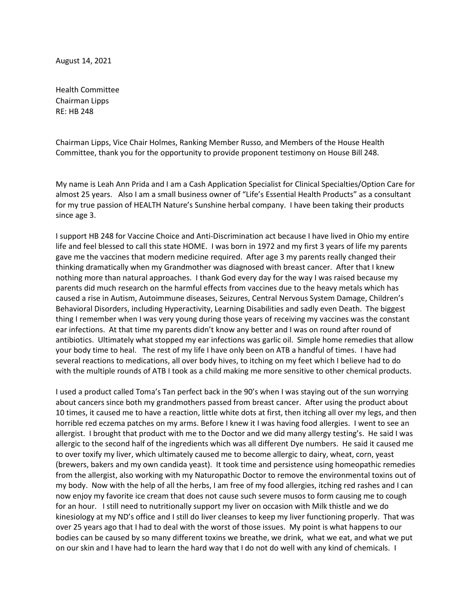August 14, 2021

Health Committee Chairman Lipps RE: HB 248

Chairman Lipps, Vice Chair Holmes, Ranking Member Russo, and Members of the House Health Committee, thank you for the opportunity to provide proponent testimony on House Bill 248.

My name is Leah Ann Prida and I am a Cash Application Specialist for Clinical Specialties/Option Care for almost 25 years. Also I am a small business owner of "Life's Essential Health Products" as a consultant for my true passion of HEALTH Nature's Sunshine herbal company. I have been taking their products since age 3.

I support HB 248 for Vaccine Choice and Anti-Discrimination act because I have lived in Ohio my entire life and feel blessed to call this state HOME. I was born in 1972 and my first 3 years of life my parents gave me the vaccines that modern medicine required. After age 3 my parents really changed their thinking dramatically when my Grandmother was diagnosed with breast cancer. After that I knew nothing more than natural approaches. I thank God every day for the way I was raised because my parents did much research on the harmful effects from vaccines due to the heavy metals which has caused a rise in Autism, Autoimmune diseases, Seizures, Central Nervous System Damage, Children's Behavioral Disorders, including Hyperactivity, Learning Disabilities and sadly even Death. The biggest thing I remember when I was very young during those years of receiving my vaccines was the constant ear infections. At that time my parents didn't know any better and I was on round after round of antibiotics. Ultimately what stopped my ear infections was garlic oil. Simple home remedies that allow your body time to heal. The rest of my life I have only been on ATB a handful of times. I have had several reactions to medications, all over body hives, to itching on my feet which I believe had to do with the multiple rounds of ATB I took as a child making me more sensitive to other chemical products.

I used a product called Toma's Tan perfect back in the 90's when I was staying out of the sun worrying about cancers since both my grandmothers passed from breast cancer. After using the product about 10 times, it caused me to have a reaction, little white dots at first, then itching all over my legs, and then horrible red eczema patches on my arms. Before I knew it I was having food allergies. I went to see an allergist. I brought that product with me to the Doctor and we did many allergy testing's. He said I was allergic to the second half of the ingredients which was all different Dye numbers. He said it caused me to over toxify my liver, which ultimately caused me to become allergic to dairy, wheat, corn, yeast (brewers, bakers and my own candida yeast). It took time and persistence using homeopathic remedies from the allergist, also working with my Naturopathic Doctor to remove the environmental toxins out of my body. Now with the help of all the herbs, I am free of my food allergies, itching red rashes and I can now enjoy my favorite ice cream that does not cause such severe musos to form causing me to cough for an hour. I still need to nutritionally support my liver on occasion with Milk thistle and we do kinesiology at my ND's office and I still do liver cleanses to keep my liver functioning properly. That was over 25 years ago that I had to deal with the worst of those issues. My point is what happens to our bodies can be caused by so many different toxins we breathe, we drink, what we eat, and what we put on our skin and I have had to learn the hard way that I do not do well with any kind of chemicals. I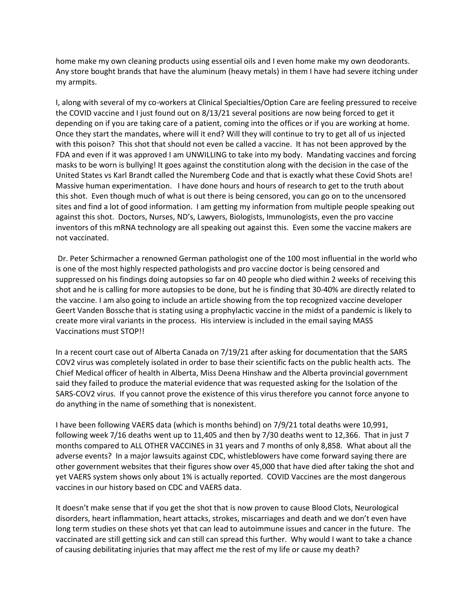home make my own cleaning products using essential oils and I even home make my own deodorants. Any store bought brands that have the aluminum (heavy metals) in them I have had severe itching under my armpits.

I, along with several of my co-workers at Clinical Specialties/Option Care are feeling pressured to receive the COVID vaccine and I just found out on 8/13/21 several positions are now being forced to get it depending on if you are taking care of a patient, coming into the offices or if you are working at home. Once they start the mandates, where will it end? Will they will continue to try to get all of us injected with this poison? This shot that should not even be called a vaccine. It has not been approved by the FDA and even if it was approved I am UNWILLING to take into my body. Mandating vaccines and forcing masks to be worn is bullying! It goes against the constitution along with the decision in the case of the United States vs Karl Brandt called the Nuremberg Code and that is exactly what these Covid Shots are! Massive human experimentation. I have done hours and hours of research to get to the truth about this shot. Even though much of what is out there is being censored, you can go on to the uncensored sites and find a lot of good information. I am getting my information from multiple people speaking out against this shot. Doctors, Nurses, ND's, Lawyers, Biologists, Immunologists, even the pro vaccine inventors of this mRNA technology are all speaking out against this. Even some the vaccine makers are not vaccinated.

Dr. Peter Schirmacher a renowned German pathologist one of the 100 most influential in the world who is one of the most highly respected pathologists and pro vaccine doctor is being censored and suppressed on his findings doing autopsies so far on 40 people who died within 2 weeks of receiving this shot and he is calling for more autopsies to be done, but he is finding that 30-40% are directly related to the vaccine. I am also going to include an article showing from the top recognized vaccine developer Geert Vanden Bossche that is stating using a prophylactic vaccine in the midst of a pandemic is likely to create more viral variants in the process. His interview is included in the email saying MASS Vaccinations must STOP!!

In a recent court case out of Alberta Canada on 7/19/21 after asking for documentation that the SARS COV2 virus was completely isolated in order to base their scientific facts on the public health acts. The Chief Medical officer of health in Alberta, Miss Deena Hinshaw and the Alberta provincial government said they failed to produce the material evidence that was requested asking for the Isolation of the SARS-COV2 virus. If you cannot prove the existence of this virus therefore you cannot force anyone to do anything in the name of something that is nonexistent.

I have been following VAERS data (which is months behind) on 7/9/21 total deaths were 10,991, following week 7/16 deaths went up to 11,405 and then by 7/30 deaths went to 12,366. That in just 7 months compared to ALL OTHER VACCINES in 31 years and 7 months of only 8,858. What about all the adverse events? In a major lawsuits against CDC, whistleblowers have come forward saying there are other government websites that their figures show over 45,000 that have died after taking the shot and yet VAERS system shows only about 1% is actually reported. COVID Vaccines are the most dangerous vaccines in our history based on CDC and VAERS data.

It doesn't make sense that if you get the shot that is now proven to cause Blood Clots, Neurological disorders, heart inflammation, heart attacks, strokes, miscarriages and death and we don't even have long term studies on these shots yet that can lead to autoimmune issues and cancer in the future. The vaccinated are still getting sick and can still can spread this further. Why would I want to take a chance of causing debilitating injuries that may affect me the rest of my life or cause my death?